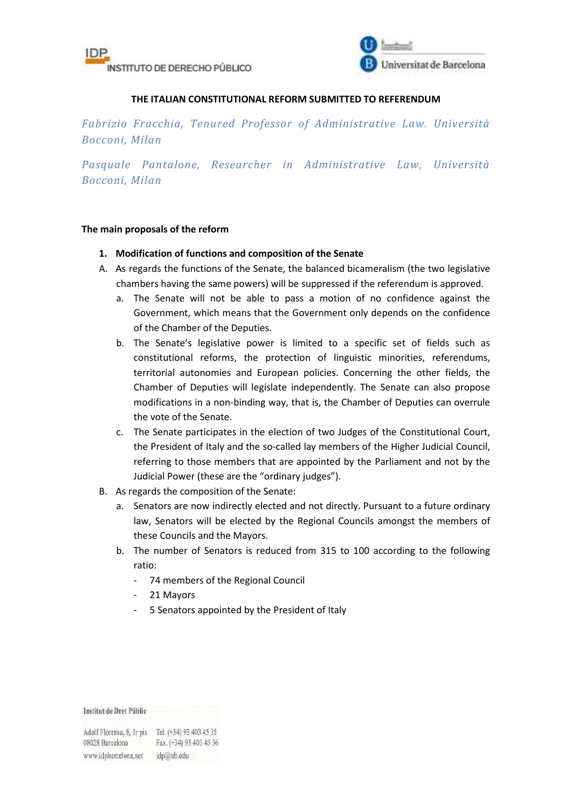



## **THE ITALIAN CONSTITUTIONAL REFORM SUBMITTED TO REFERENDUM**

*Fabrizio Fracchia, Tenured Professor of Administrative Law. Università Bocconi, Milan* 

*Pasquale Pantalone, Researcher in Administrative Law, Università Bocconi, Milan* 

### **The main proposals of the reform**

## **1. Modification of functions and composition of the Senate**

- A. As regards the functions of the Senate, the balanced bicameralism (the two legislative chambers having the same powers) will be suppressed if the referendum is approved.
	- a. The Senate will not be able to pass a motion of no confidence against the Government, which means that the Government only depends on the confidence of the Chamber of the Deputies.
	- b. The Senate's legislative power is limited to a specific set of fields such as constitutional reforms, the protection of linguistic minorities, referendums, territorial autonomies and European policies. Concerning the other fields, the Chamber of Deputies will legislate independently. The Senate can also propose modifications in a non-binding way, that is, the Chamber of Deputies can overrule the vote of the Senate.
	- c. The Senate participates in the election of two Judges of the Constitutional Court, the President of Italy and the so-called lay members of the Higher Judicial Council, referring to those members that are appointed by the Parliament and not by the Judicial Power (these are the "ordinary judges").
- B. As regards the composition of the Senate:
	- a. Senators are now indirectly elected and not directly. Pursuant to a future ordinary law, Senators will be elected by the Regional Councils amongst the members of these Councils and the Mayors.
	- b. The number of Senators is reduced from 315 to 100 according to the following ratio:
		- 74 members of the Regional Council
		- 21 Mayors
		- 5 Senators appointed by the President of Italy

Institut de Dret Públic

Adolf Florensa, 8, 1r pis Tel. (+34) 93 403 45 35 Fax. (+34) 93 403 45 36 08028 Barcelona www.idpbarcelona.net idp@ub.edu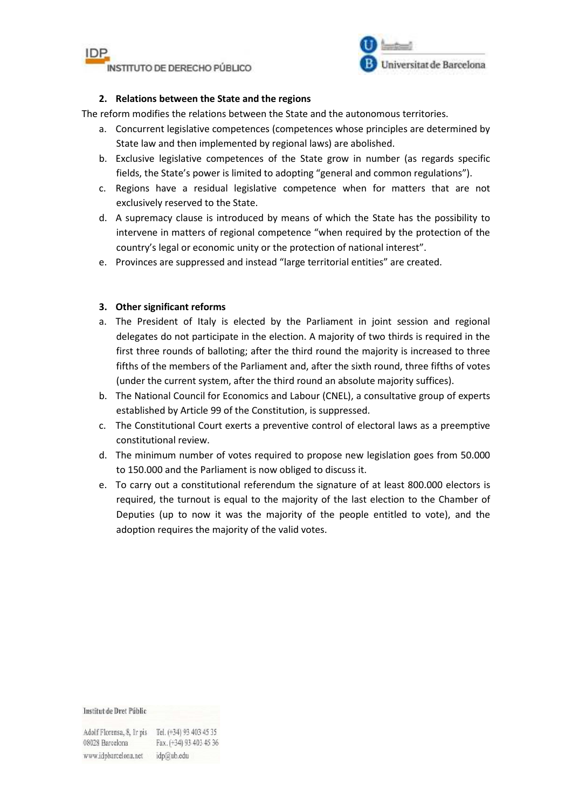



## **2. Relations between the State and the regions**

The reform modifies the relations between the State and the autonomous territories.

- a. Concurrent legislative competences (competences whose principles are determined by State law and then implemented by regional laws) are abolished.
- b. Exclusive legislative competences of the State grow in number (as regards specific fields, the State's power is limited to adopting "general and common regulations").
- c. Regions have a residual legislative competence when for matters that are not exclusively reserved to the State.
- d. A supremacy clause is introduced by means of which the State has the possibility to intervene in matters of regional competence "when required by the protection of the country's legal or economic unity or the protection of national interest".
- e. Provinces are suppressed and instead "large territorial entities" are created.

# **3. Other significant reforms**

- a. The President of Italy is elected by the Parliament in joint session and regional delegates do not participate in the election. A majority of two thirds is required in the first three rounds of balloting; after the third round the majority is increased to three fifths of the members of the Parliament and, after the sixth round, three fifths of votes (under the current system, after the third round an absolute majority suffices).
- b. The National Council for Economics and Labour (CNEL), a consultative group of experts established by Article 99 of the Constitution, is suppressed.
- c. The Constitutional Court exerts a preventive control of electoral laws as a preemptive constitutional review.
- d. The minimum number of votes required to propose new legislation goes from 50.000 to 150.000 and the Parliament is now obliged to discuss it.
- e. To carry out a constitutional referendum the signature of at least 800.000 electors is required, the turnout is equal to the majority of the last election to the Chamber of Deputies (up to now it was the majority of the people entitled to vote), and the adoption requires the majority of the valid votes.

#### Institut de Dret Públic

Adolf Florensa, 8, Ir pis Tel. (+34) 93 403 45 35 Fax. (+34) 93 403 45 36 08028 Barcelona www.idpbarcelona.net idp@ub.edu